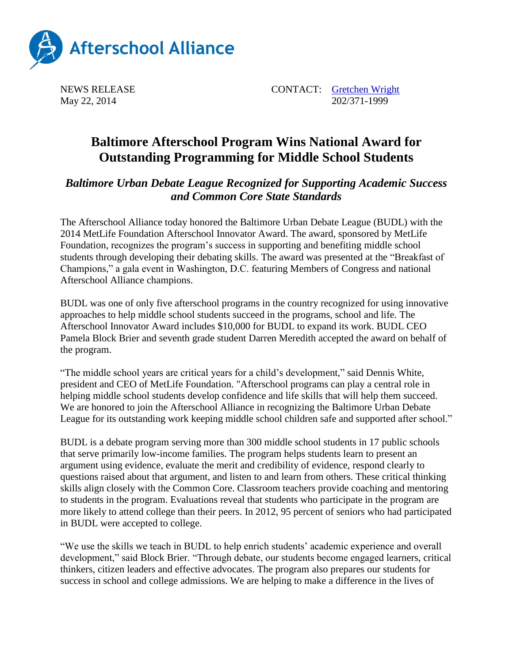

NEWS RELEASE CONTACT: [Gretchen Wright](mailto:gretchen@prsolutionsdc.com) May 22, 2014 202/371-1999

## **Baltimore Afterschool Program Wins National Award for Outstanding Programming for Middle School Students**

## *Baltimore Urban Debate League Recognized for Supporting Academic Success and Common Core State Standards*

The Afterschool Alliance today honored the Baltimore Urban Debate League (BUDL) with the 2014 MetLife Foundation Afterschool Innovator Award. The award, sponsored by MetLife Foundation, recognizes the program's success in supporting and benefiting middle school students through developing their debating skills. The award was presented at the "Breakfast of Champions," a gala event in Washington, D.C. featuring Members of Congress and national Afterschool Alliance champions.

BUDL was one of only five afterschool programs in the country recognized for using innovative approaches to help middle school students succeed in the programs, school and life. The Afterschool Innovator Award includes \$10,000 for BUDL to expand its work. BUDL CEO Pamela Block Brier and seventh grade student Darren Meredith accepted the award on behalf of the program.

"The middle school years are critical years for a child's development," said Dennis White, president and CEO of MetLife Foundation. "Afterschool programs can play a central role in helping middle school students develop confidence and life skills that will help them succeed. We are honored to join the Afterschool Alliance in recognizing the Baltimore Urban Debate League for its outstanding work keeping middle school children safe and supported after school."

BUDL is a debate program serving more than 300 middle school students in 17 public schools that serve primarily low-income families. The program helps students learn to present an argument using evidence, evaluate the merit and credibility of evidence, respond clearly to questions raised about that argument, and listen to and learn from others. These critical thinking skills align closely with the Common Core. Classroom teachers provide coaching and mentoring to students in the program. Evaluations reveal that students who participate in the program are more likely to attend college than their peers. In 2012, 95 percent of seniors who had participated in BUDL were accepted to college.

"We use the skills we teach in BUDL to help enrich students' academic experience and overall development," said Block Brier. "Through debate, our students become engaged learners, critical thinkers, citizen leaders and effective advocates. The program also prepares our students for success in school and college admissions. We are helping to make a difference in the lives of